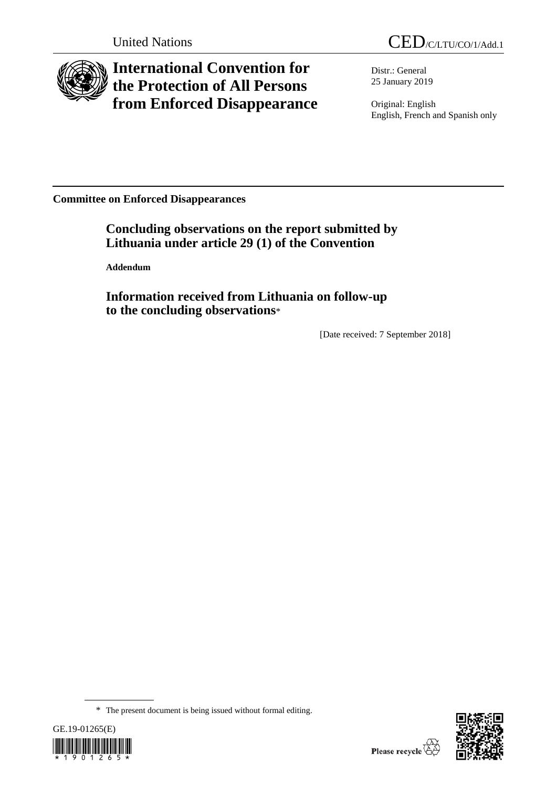

# **International Convention for the Protection of All Persons from Enforced Disappearance**

Distr.: General 25 January 2019

Original: English English, French and Spanish only

**Committee on Enforced Disappearances**

**Concluding observations on the report submitted by Lithuania under article 29 (1) of the Convention**

**Addendum**

**Information received from Lithuania on follow-up to the concluding observations**\*

[Date received: 7 September 2018]

<sup>\*</sup> The present document is being issued without formal editing.



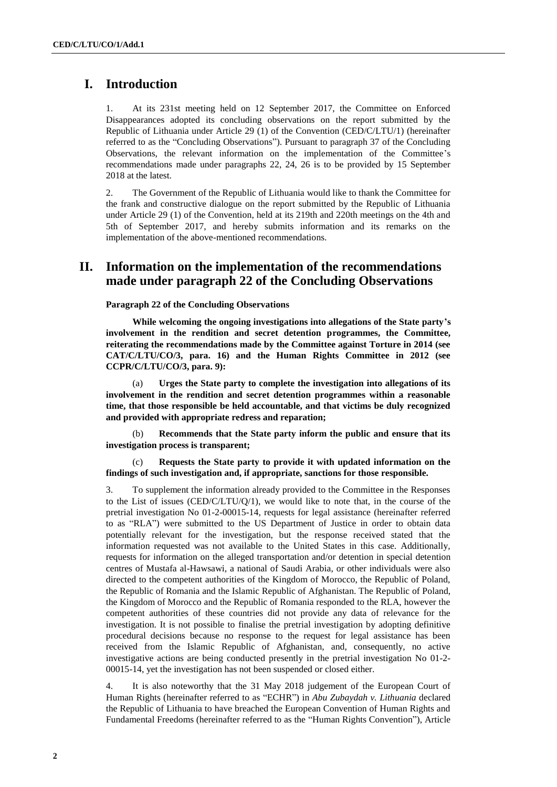# **I. Introduction**

1. At its 231st meeting held on 12 September 2017, the Committee on Enforced Disappearances adopted its concluding observations on the report submitted by the Republic of Lithuania under Article 29 (1) of the Convention (CED/C/LTU/1) (hereinafter referred to as the "Concluding Observations"). Pursuant to paragraph 37 of the Concluding Observations, the relevant information on the implementation of the Committee's recommendations made under paragraphs 22, 24, 26 is to be provided by 15 September 2018 at the latest.

2. The Government of the Republic of Lithuania would like to thank the Committee for the frank and constructive dialogue on the report submitted by the Republic of Lithuania under Article 29 (1) of the Convention, held at its 219th and 220th meetings on the 4th and 5th of September 2017, and hereby submits information and its remarks on the implementation of the above-mentioned recommendations.

## **II. Information on the implementation of the recommendations made under paragraph 22 of the Concluding Observations**

#### **Paragraph 22 of the Concluding Observations**

**While welcoming the ongoing investigations into allegations of the State party's involvement in the rendition and secret detention programmes, the Committee, reiterating the recommendations made by the Committee against Torture in 2014 (see CAT/C/LTU/CO/3, para. 16) and the Human Rights Committee in 2012 (see CCPR/C/LTU/CO/3, para. 9):** 

(a) **Urges the State party to complete the investigation into allegations of its involvement in the rendition and secret detention programmes within a reasonable time, that those responsible be held accountable, and that victims be duly recognized and provided with appropriate redress and reparation;** 

(b) **Recommends that the State party inform the public and ensure that its investigation process is transparent;** 

(c) **Requests the State party to provide it with updated information on the findings of such investigation and, if appropriate, sanctions for those responsible.** 

3. To supplement the information already provided to the Committee in the Responses to the List of issues (CED/C/LTU/Q/1), we would like to note that, in the course of the pretrial investigation No 01-2-00015-14, requests for legal assistance (hereinafter referred to as "RLA") were submitted to the US Department of Justice in order to obtain data potentially relevant for the investigation, but the response received stated that the information requested was not available to the United States in this case. Additionally, requests for information on the alleged transportation and/or detention in special detention centres of Mustafa al-Hawsawi, a national of Saudi Arabia, or other individuals were also directed to the competent authorities of the Kingdom of Morocco, the Republic of Poland, the Republic of Romania and the Islamic Republic of Afghanistan. The Republic of Poland, the Kingdom of Morocco and the Republic of Romania responded to the RLA, however the competent authorities of these countries did not provide any data of relevance for the investigation. It is not possible to finalise the pretrial investigation by adopting definitive procedural decisions because no response to the request for legal assistance has been received from the Islamic Republic of Afghanistan, and, consequently, no active investigative actions are being conducted presently in the pretrial investigation No 01-2- 00015-14, yet the investigation has not been suspended or closed either.

4. It is also noteworthy that the 31 May 2018 judgement of the European Court of Human Rights (hereinafter referred to as "ECHR") in *Abu Zubaydah v. Lithuania* declared the Republic of Lithuania to have breached the European Convention of Human Rights and Fundamental Freedoms (hereinafter referred to as the "Human Rights Convention"), Article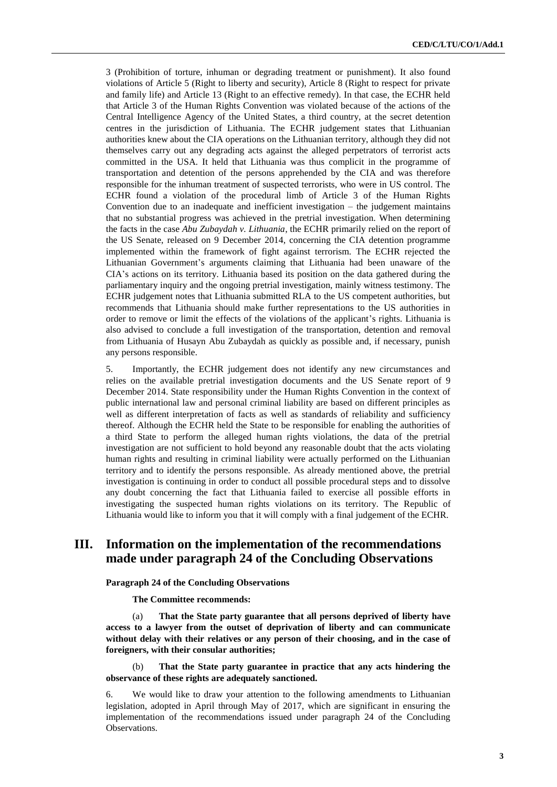3 (Prohibition of torture, inhuman or degrading treatment or punishment). It also found violations of Article 5 (Right to liberty and security), Article 8 (Right to respect for private and family life) and Article 13 (Right to an effective remedy). In that case, the ECHR held that Article 3 of the Human Rights Convention was violated because of the actions of the Central Intelligence Agency of the United States, a third country, at the secret detention centres in the jurisdiction of Lithuania. The ECHR judgement states that Lithuanian authorities knew about the CIA operations on the Lithuanian territory, although they did not themselves carry out any degrading acts against the alleged perpetrators of terrorist acts committed in the USA. It held that Lithuania was thus complicit in the programme of transportation and detention of the persons apprehended by the CIA and was therefore responsible for the inhuman treatment of suspected terrorists, who were in US control. The ECHR found a violation of the procedural limb of Article 3 of the Human Rights Convention due to an inadequate and inefficient investigation – the judgement maintains that no substantial progress was achieved in the pretrial investigation. When determining the facts in the case *Abu Zubaydah v. Lithuania*, the ECHR primarily relied on the report of the US Senate, released on 9 December 2014, concerning the CIA detention programme implemented within the framework of fight against terrorism. The ECHR rejected the Lithuanian Government's arguments claiming that Lithuania had been unaware of the CIA's actions on its territory. Lithuania based its position on the data gathered during the parliamentary inquiry and the ongoing pretrial investigation, mainly witness testimony. The ECHR judgement notes that Lithuania submitted RLA to the US competent authorities, but recommends that Lithuania should make further representations to the US authorities in order to remove or limit the effects of the violations of the applicant's rights. Lithuania is also advised to conclude a full investigation of the transportation, detention and removal from Lithuania of Husayn Abu Zubaydah as quickly as possible and, if necessary, punish any persons responsible.

5. Importantly, the ECHR judgement does not identify any new circumstances and relies on the available pretrial investigation documents and the US Senate report of 9 December 2014. State responsibility under the Human Rights Convention in the context of public international law and personal criminal liability are based on different principles as well as different interpretation of facts as well as standards of reliability and sufficiency thereof. Although the ECHR held the State to be responsible for enabling the authorities of a third State to perform the alleged human rights violations, the data of the pretrial investigation are not sufficient to hold beyond any reasonable doubt that the acts violating human rights and resulting in criminal liability were actually performed on the Lithuanian territory and to identify the persons responsible. As already mentioned above, the pretrial investigation is continuing in order to conduct all possible procedural steps and to dissolve any doubt concerning the fact that Lithuania failed to exercise all possible efforts in investigating the suspected human rights violations on its territory. The Republic of Lithuania would like to inform you that it will comply with a final judgement of the ECHR.

## **III. Information on the implementation of the recommendations made under paragraph 24 of the Concluding Observations**

**Paragraph 24 of the Concluding Observations**

**The Committee recommends:** 

(a) **That the State party guarantee that all persons deprived of liberty have access to a lawyer from the outset of deprivation of liberty and can communicate without delay with their relatives or any person of their choosing, and in the case of foreigners, with their consular authorities;** 

(b) **That the State party guarantee in practice that any acts hindering the observance of these rights are adequately sanctioned.**

6. We would like to draw your attention to the following amendments to Lithuanian legislation, adopted in April through May of 2017, which are significant in ensuring the implementation of the recommendations issued under paragraph 24 of the Concluding Observations.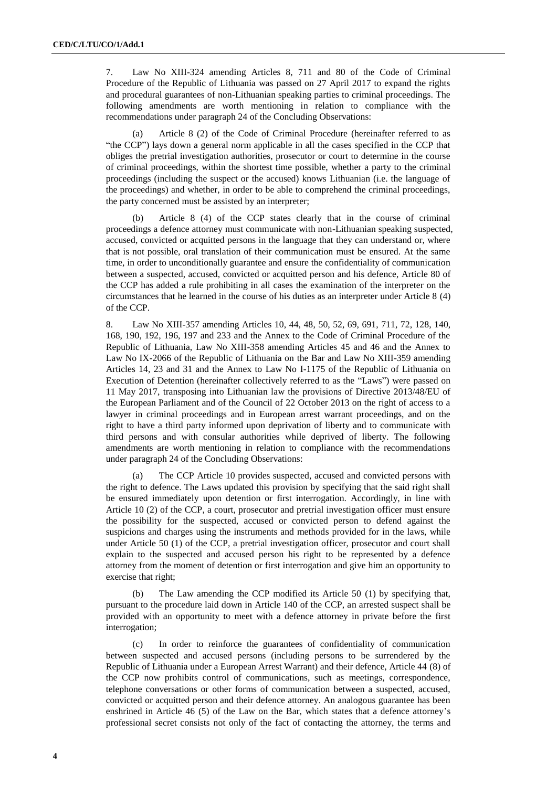7. Law No XIII-324 amending Articles 8, 711 and 80 of the Code of Criminal Procedure of the Republic of Lithuania was passed on 27 April 2017 to expand the rights and procedural guarantees of non-Lithuanian speaking parties to criminal proceedings. The following amendments are worth mentioning in relation to compliance with the recommendations under paragraph 24 of the Concluding Observations:

(a) Article 8 (2) of the Code of Criminal Procedure (hereinafter referred to as "the CCP") lays down a general norm applicable in all the cases specified in the CCP that obliges the pretrial investigation authorities, prosecutor or court to determine in the course of criminal proceedings, within the shortest time possible, whether a party to the criminal proceedings (including the suspect or the accused) knows Lithuanian (i.e. the language of the proceedings) and whether, in order to be able to comprehend the criminal proceedings, the party concerned must be assisted by an interpreter;

Article 8 (4) of the CCP states clearly that in the course of criminal proceedings a defence attorney must communicate with non-Lithuanian speaking suspected, accused, convicted or acquitted persons in the language that they can understand or, where that is not possible, oral translation of their communication must be ensured. At the same time, in order to unconditionally guarantee and ensure the confidentiality of communication between a suspected, accused, convicted or acquitted person and his defence, Article 80 of the CCP has added a rule prohibiting in all cases the examination of the interpreter on the circumstances that he learned in the course of his duties as an interpreter under Article 8 (4) of the CCP.

8. Law No XIII-357 amending Articles 10, 44, 48, 50, 52, 69, 691, 711, 72, 128, 140, 168, 190, 192, 196, 197 and 233 and the Annex to the Code of Criminal Procedure of the Republic of Lithuania, Law No XIII-358 amending Articles 45 and 46 and the Annex to Law No IX-2066 of the Republic of Lithuania on the Bar and Law No XIII-359 amending Articles 14, 23 and 31 and the Annex to Law No I-1175 of the Republic of Lithuania on Execution of Detention (hereinafter collectively referred to as the "Laws") were passed on 11 May 2017, transposing into Lithuanian law the provisions of Directive 2013/48/EU of the European Parliament and of the Council of 22 October 2013 on the right of access to a lawyer in criminal proceedings and in European arrest warrant proceedings, and on the right to have a third party informed upon deprivation of liberty and to communicate with third persons and with consular authorities while deprived of liberty. The following amendments are worth mentioning in relation to compliance with the recommendations under paragraph 24 of the Concluding Observations:

(a) The CCP Article 10 provides suspected, accused and convicted persons with the right to defence. The Laws updated this provision by specifying that the said right shall be ensured immediately upon detention or first interrogation. Accordingly, in line with Article 10 (2) of the CCP, a court, prosecutor and pretrial investigation officer must ensure the possibility for the suspected, accused or convicted person to defend against the suspicions and charges using the instruments and methods provided for in the laws, while under Article 50 (1) of the CCP, a pretrial investigation officer, prosecutor and court shall explain to the suspected and accused person his right to be represented by a defence attorney from the moment of detention or first interrogation and give him an opportunity to exercise that right;

(b) The Law amending the CCP modified its Article 50 (1) by specifying that, pursuant to the procedure laid down in Article 140 of the CCP, an arrested suspect shall be provided with an opportunity to meet with a defence attorney in private before the first interrogation;

(c) In order to reinforce the guarantees of confidentiality of communication between suspected and accused persons (including persons to be surrendered by the Republic of Lithuania under a European Arrest Warrant) and their defence, Article 44 (8) of the CCP now prohibits control of communications, such as meetings, correspondence, telephone conversations or other forms of communication between a suspected, accused, convicted or acquitted person and their defence attorney. An analogous guarantee has been enshrined in Article 46 (5) of the Law on the Bar, which states that a defence attorney's professional secret consists not only of the fact of contacting the attorney, the terms and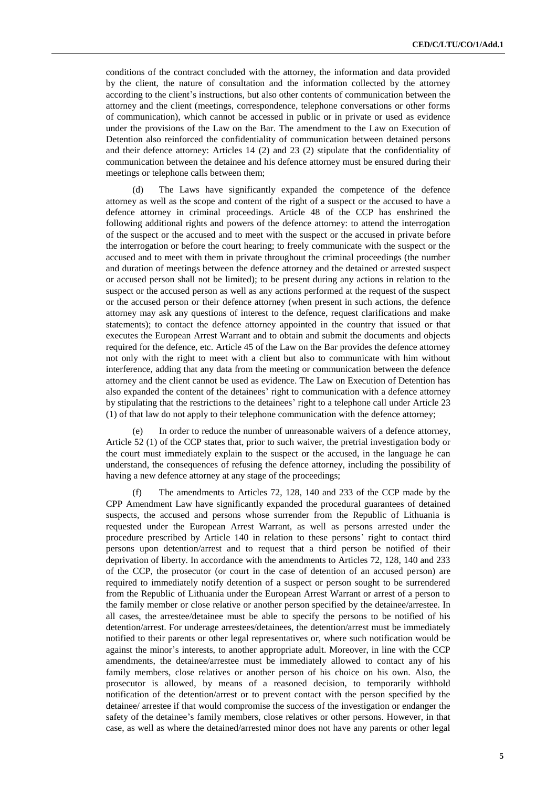conditions of the contract concluded with the attorney, the information and data provided by the client, the nature of consultation and the information collected by the attorney according to the client's instructions, but also other contents of communication between the attorney and the client (meetings, correspondence, telephone conversations or other forms of communication), which cannot be accessed in public or in private or used as evidence under the provisions of the Law on the Bar. The amendment to the Law on Execution of Detention also reinforced the confidentiality of communication between detained persons and their defence attorney: Articles 14 (2) and 23 (2) stipulate that the confidentiality of communication between the detainee and his defence attorney must be ensured during their meetings or telephone calls between them;

(d) The Laws have significantly expanded the competence of the defence attorney as well as the scope and content of the right of a suspect or the accused to have a defence attorney in criminal proceedings. Article 48 of the CCP has enshrined the following additional rights and powers of the defence attorney: to attend the interrogation of the suspect or the accused and to meet with the suspect or the accused in private before the interrogation or before the court hearing; to freely communicate with the suspect or the accused and to meet with them in private throughout the criminal proceedings (the number and duration of meetings between the defence attorney and the detained or arrested suspect or accused person shall not be limited); to be present during any actions in relation to the suspect or the accused person as well as any actions performed at the request of the suspect or the accused person or their defence attorney (when present in such actions, the defence attorney may ask any questions of interest to the defence, request clarifications and make statements); to contact the defence attorney appointed in the country that issued or that executes the European Arrest Warrant and to obtain and submit the documents and objects required for the defence, etc. Article 45 of the Law on the Bar provides the defence attorney not only with the right to meet with a client but also to communicate with him without interference, adding that any data from the meeting or communication between the defence attorney and the client cannot be used as evidence. The Law on Execution of Detention has also expanded the content of the detainees' right to communication with a defence attorney by stipulating that the restrictions to the detainees' right to a telephone call under Article 23 (1) of that law do not apply to their telephone communication with the defence attorney;

(e) In order to reduce the number of unreasonable waivers of a defence attorney, Article 52 (1) of the CCP states that, prior to such waiver, the pretrial investigation body or the court must immediately explain to the suspect or the accused, in the language he can understand, the consequences of refusing the defence attorney, including the possibility of having a new defence attorney at any stage of the proceedings;

The amendments to Articles 72, 128, 140 and 233 of the CCP made by the CPP Amendment Law have significantly expanded the procedural guarantees of detained suspects, the accused and persons whose surrender from the Republic of Lithuania is requested under the European Arrest Warrant, as well as persons arrested under the procedure prescribed by Article 140 in relation to these persons' right to contact third persons upon detention/arrest and to request that a third person be notified of their deprivation of liberty. In accordance with the amendments to Articles 72, 128, 140 and 233 of the CCP, the prosecutor (or court in the case of detention of an accused person) are required to immediately notify detention of a suspect or person sought to be surrendered from the Republic of Lithuania under the European Arrest Warrant or arrest of a person to the family member or close relative or another person specified by the detainee/arrestee. In all cases, the arrestee/detainee must be able to specify the persons to be notified of his detention/arrest. For underage arrestees/detainees, the detention/arrest must be immediately notified to their parents or other legal representatives or, where such notification would be against the minor's interests, to another appropriate adult. Moreover, in line with the CCP amendments, the detainee/arrestee must be immediately allowed to contact any of his family members, close relatives or another person of his choice on his own. Also, the prosecutor is allowed, by means of a reasoned decision, to temporarily withhold notification of the detention/arrest or to prevent contact with the person specified by the detainee/ arrestee if that would compromise the success of the investigation or endanger the safety of the detainee's family members, close relatives or other persons. However, in that case, as well as where the detained/arrested minor does not have any parents or other legal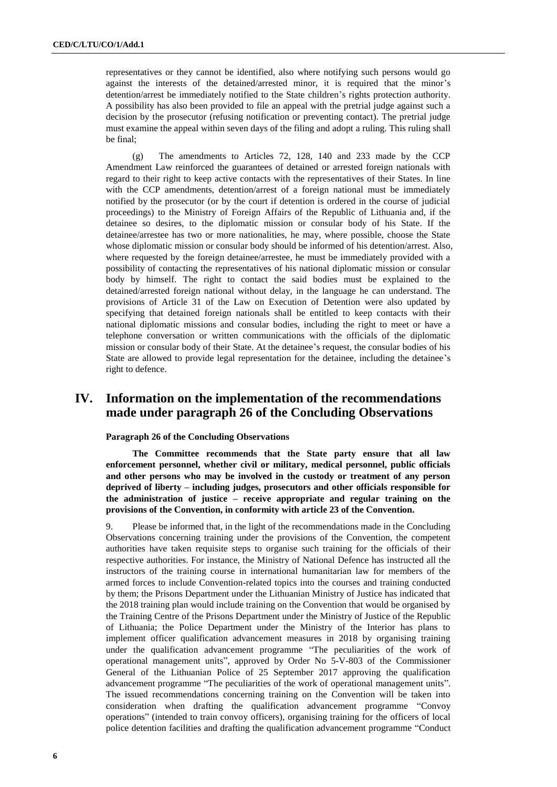representatives or they cannot be identified, also where notifying such persons would go against the interests of the detained/arrested minor, it is required that the minor's detention/arrest be immediately notified to the State children's rights protection authority. A possibility has also been provided to file an appeal with the pretrial judge against such a decision by the prosecutor (refusing notification or preventing contact). The pretrial judge must examine the appeal within seven days of the filing and adopt a ruling. This ruling shall be final;

(g) The amendments to Articles 72, 128, 140 and 233 made by the CCP Amendment Law reinforced the guarantees of detained or arrested foreign nationals with regard to their right to keep active contacts with the representatives of their States. In line with the CCP amendments, detention/arrest of a foreign national must be immediately notified by the prosecutor (or by the court if detention is ordered in the course of judicial proceedings) to the Ministry of Foreign Affairs of the Republic of Lithuania and, if the detainee so desires, to the diplomatic mission or consular body of his State. If the detainee/arrestee has two or more nationalities, he may, where possible, choose the State whose diplomatic mission or consular body should be informed of his detention/arrest. Also, where requested by the foreign detainee/arrestee, he must be immediately provided with a possibility of contacting the representatives of his national diplomatic mission or consular body by himself. The right to contact the said bodies must be explained to the detained/arrested foreign national without delay, in the language he can understand. The provisions of Article 31 of the Law on Execution of Detention were also updated by specifying that detained foreign nationals shall be entitled to keep contacts with their national diplomatic missions and consular bodies, including the right to meet or have a telephone conversation or written communications with the officials of the diplomatic mission or consular body of their State. At the detainee's request, the consular bodies of his State are allowed to provide legal representation for the detainee, including the detainee's right to defence.

# **IV. Information on the implementation of the recommendations made under paragraph 26 of the Concluding Observations**

#### **Paragraph 26 of the Concluding Observations**

**The Committee recommends that the State party ensure that all law enforcement personnel, whether civil or military, medical personnel, public officials and other persons who may be involved in the custody or treatment of any person deprived of liberty – including judges, prosecutors and other officials responsible for the administration of justice – receive appropriate and regular training on the provisions of the Convention, in conformity with article 23 of the Convention.**

9. Please be informed that, in the light of the recommendations made in the Concluding Observations concerning training under the provisions of the Convention, the competent authorities have taken requisite steps to organise such training for the officials of their respective authorities. For instance, the Ministry of National Defence has instructed all the instructors of the training course in international humanitarian law for members of the armed forces to include Convention-related topics into the courses and training conducted by them; the Prisons Department under the Lithuanian Ministry of Justice has indicated that the 2018 training plan would include training on the Convention that would be organised by the Training Centre of the Prisons Department under the Ministry of Justice of the Republic of Lithuania; the Police Department under the Ministry of the Interior has plans to implement officer qualification advancement measures in 2018 by organising training under the qualification advancement programme "The peculiarities of the work of operational management units", approved by Order No 5-V-803 of the Commissioner General of the Lithuanian Police of 25 September 2017 approving the qualification advancement programme "The peculiarities of the work of operational management units". The issued recommendations concerning training on the Convention will be taken into consideration when drafting the qualification advancement programme "Convoy operations" (intended to train convoy officers), organising training for the officers of local police detention facilities and drafting the qualification advancement programme "Conduct